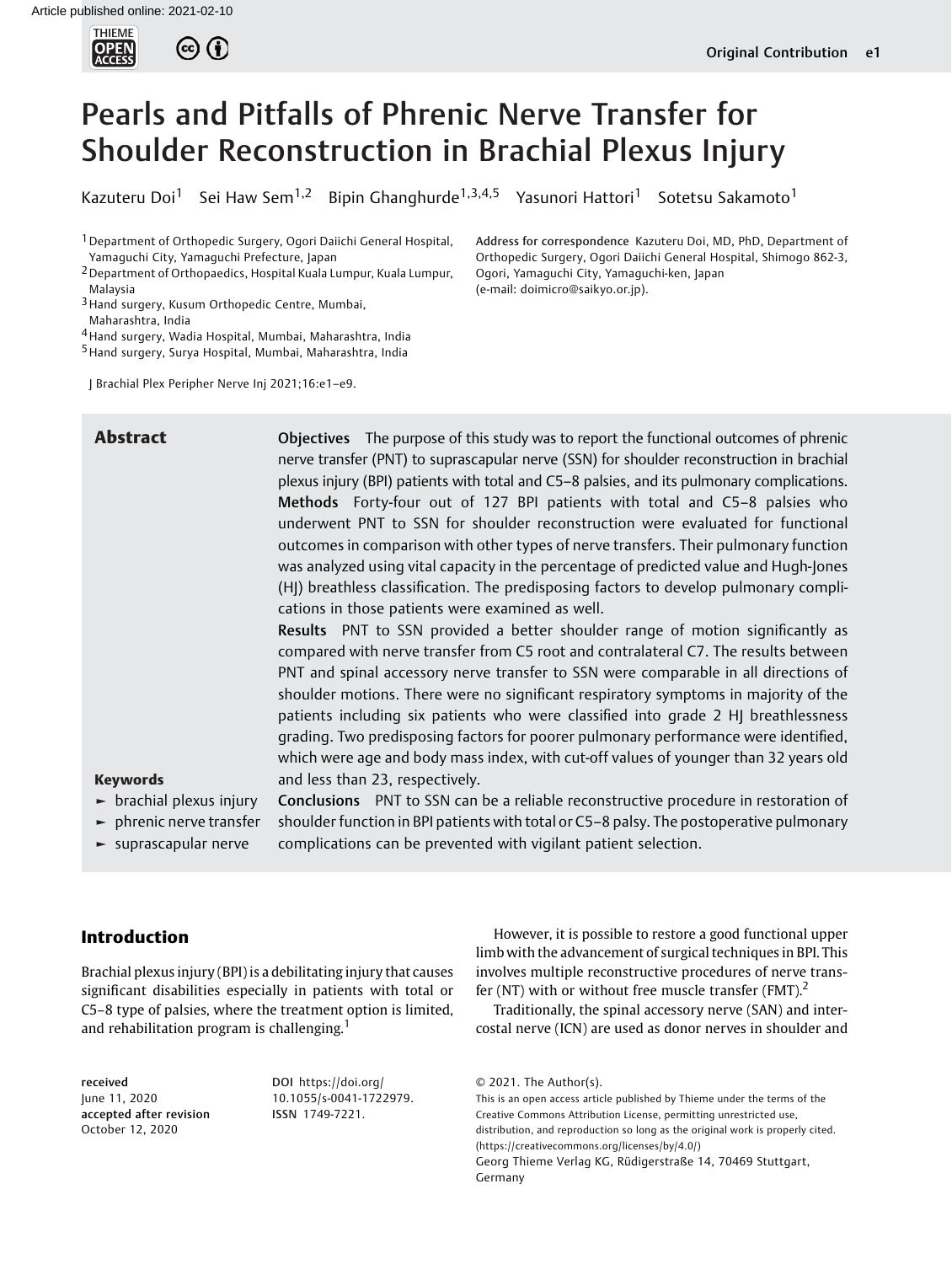

# Pearls and Pitfalls of Phrenic Nerve Transfer for Shoulder Reconstruction in Brachial Plexus Injury

Kazuteru Doi<sup>1</sup> Sei Haw Sem<sup>1,2</sup> Bipin Ghanghurde<sup>1,3,4,5</sup> Yasunori Hattori<sup>1</sup> Sotetsu Sakamoto<sup>1</sup>

(e-mail: [doimicro@saikyo.or.jp](mailto:doimicro@saikyo.or.jp)).

Ogori, Yamaguchi City, Yamaguchi-ken, Japan

Address for correspondence Kazuteru Doi, MD, PhD, Department of Orthopedic Surgery, Ogori Daiichi General Hospital, Shimogo 862-3,

1Department of Orthopedic Surgery, Ogori Daiichi General Hospital, Yamaguchi City, Yamaguchi Prefecture, Japan

2Department of Orthopaedics, Hospital Kuala Lumpur, Kuala Lumpur, Malaysia

3Hand surgery, Kusum Orthopedic Centre, Mumbai,

Maharashtra, India

4Hand surgery, Wadia Hospital, Mumbai, Maharashtra, India

5Hand surgery, Surya Hospital, Mumbai, Maharashtra, India

J Brachial Plex Peripher Nerve Inj 2021;16:e1–e9.

**Abstract C** Objectives The purpose of this study was to report the functional outcomes of phrenic nerve transfer (PNT) to suprascapular nerve (SSN) for shoulder reconstruction in brachial plexus injury (BPI) patients with total and C5–8 palsies, and its pulmonary complications. Methods Forty-four out of 127 BPI patients with total and C5–8 palsies who underwent PNT to SSN for shoulder reconstruction were evaluated for functional outcomes in comparison with other types of nerve transfers. Their pulmonary function was analyzed using vital capacity in the percentage of predicted value and Hugh-Jones (HJ) breathless classification. The predisposing factors to develop pulmonary complications in those patients were examined as well.

> Results PNT to SSN provided a better shoulder range of motion significantly as compared with nerve transfer from C5 root and contralateral C7. The results between PNT and spinal accessory nerve transfer to SSN were comparable in all directions of shoulder motions. There were no significant respiratory symptoms in majority of the patients including six patients who were classified into grade 2 HJ breathlessness grading. Two predisposing factors for poorer pulmonary performance were identified, which were age and body mass index, with cut-off values of younger than 32 years old and less than 23, respectively.

# Keywords

- $\blacktriangleright$  brachial plexus injury
- ► phrenic nerve transfer
- ► suprascapular nerve

Conclusions PNT to SSN can be a reliable reconstructive procedure in restoration of shoulder function in BPI patients with total or C5–8 palsy. The postoperative pulmonary complications can be prevented with vigilant patient selection.

# Introduction

Brachial plexus injury (BPI) is a debilitating injury that causes significant disabilities especially in patients with total or C5–8 type of palsies, where the treatment option is limited, and rehabilitation program is challenging.<sup>1</sup>

received June 11, 2020 accepted after revision October 12, 2020

DOI [https://doi.org/](https://doi.org/10.1055/s-0041-1722979) [10.1055/s-0041-1722979](https://doi.org/10.1055/s-0041-1722979). ISSN 1749-7221.

However, it is possible to restore a good functional upper limb with the advancement of surgical techniques in BPI. This involves multiple reconstructive procedures of nerve transfer (NT) with or without free muscle transfer (FMT).<sup>2</sup>

Traditionally, the spinal accessory nerve (SAN) and intercostal nerve (ICN) are used as donor nerves in shoulder and

This is an open access article published by Thieme under the terms of the Creative Commons Attribution License, permitting unrestricted use, distribution, and reproduction so long as the original work is properly cited. (https://creativecommons.org/licenses/by/4.0/) Georg Thieme Verlag KG, Rüdigerstraße 14, 70469 Stuttgart, Germany

<sup>© 2021.</sup> The Author(s).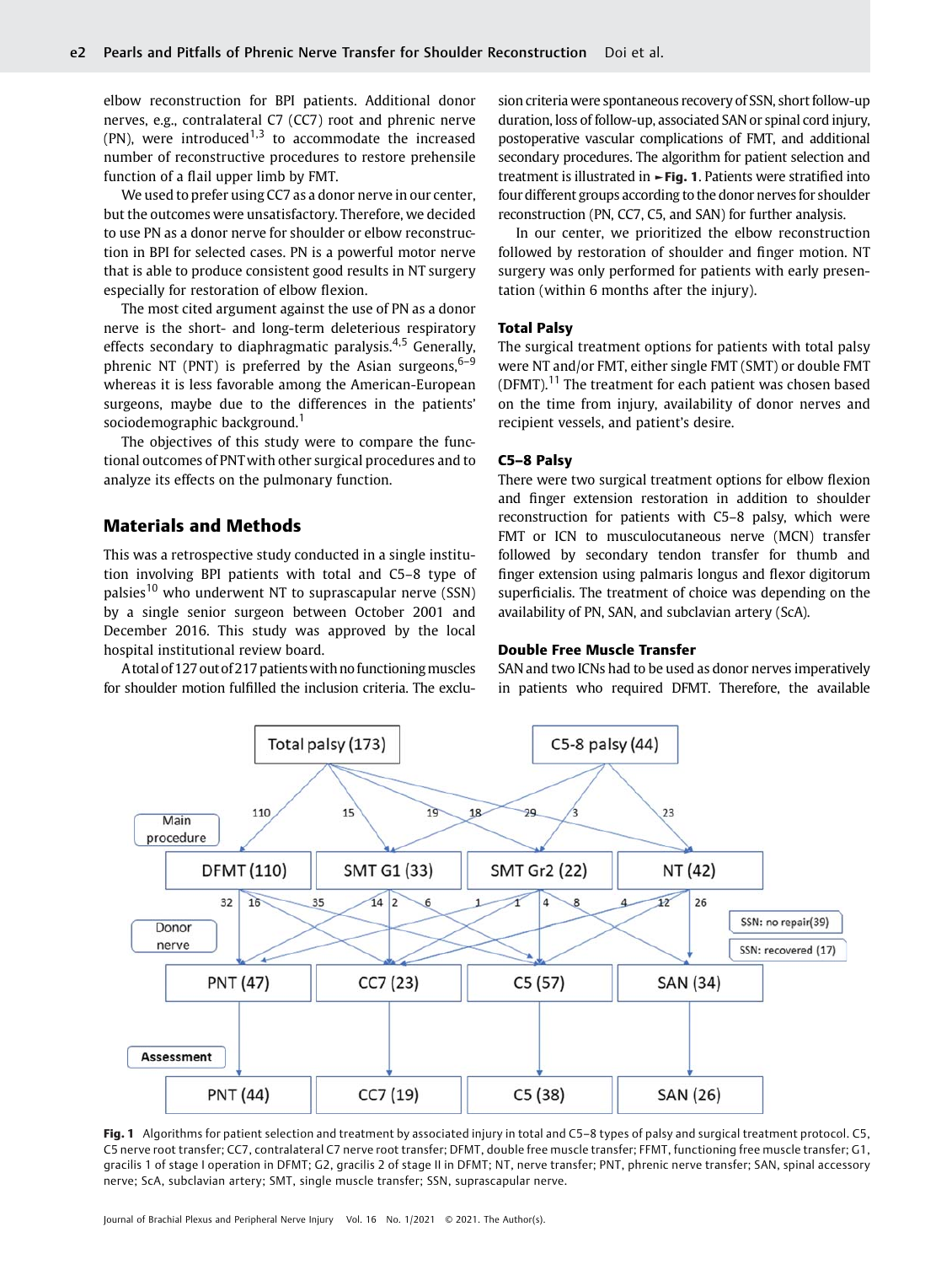elbow reconstruction for BPI patients. Additional donor nerves, e.g., contralateral C7 (CC7) root and phrenic nerve (PN), were introduced<sup>1,3</sup> to accommodate the increased number of reconstructive procedures to restore prehensile function of a flail upper limb by FMT.

We used to prefer using CC7 as a donor nerve in our center, but the outcomes were unsatisfactory. Therefore, we decided to use PN as a donor nerve for shoulder or elbow reconstruction in BPI for selected cases. PN is a powerful motor nerve that is able to produce consistent good results in NT surgery especially for restoration of elbow flexion.

The most cited argument against the use of PN as a donor nerve is the short- and long-term deleterious respiratory effects secondary to diaphragmatic paralysis.<sup>4,5</sup> Generally, phrenic NT (PNT) is preferred by the Asian surgeons,  $6-9$ whereas it is less favorable among the American-European surgeons, maybe due to the differences in the patients' sociodemographic background.<sup>1</sup>

The objectives of this study were to compare the functional outcomes of PNTwith other surgical procedures and to analyze its effects on the pulmonary function.

# Materials and Methods

This was a retrospective study conducted in a single institution involving BPI patients with total and C5–8 type of palsies<sup>10</sup> who underwent NT to suprascapular nerve (SSN) by a single senior surgeon between October 2001 and December 2016. This study was approved by the local hospital institutional review board.

A total of 127 out of 217 patients with no functioning muscles for shoulder motion fulfilled the inclusion criteria. The exclusion criteria were spontaneous recovery of SSN, short follow-up duration, loss of follow-up, associated SAN or spinal cord injury, postoperative vascular complications of FMT, and additional secondary procedures. The algorithm for patient selection and treatment is illustrated in  $\blacktriangleright$  Fig. 1. Patients were stratified into four different groups according to the donor nerves for shoulder reconstruction (PN, CC7, C5, and SAN) for further analysis.

In our center, we prioritized the elbow reconstruction followed by restoration of shoulder and finger motion. NT surgery was only performed for patients with early presentation (within 6 months after the injury).

#### Total Palsy

The surgical treatment options for patients with total palsy were NT and/or FMT, either single FMT (SMT) or double FMT (DFMT).<sup>11</sup> The treatment for each patient was chosen based on the time from injury, availability of donor nerves and recipient vessels, and patient's desire.

### C5–8 Palsy

There were two surgical treatment options for elbow flexion and finger extension restoration in addition to shoulder reconstruction for patients with C5–8 palsy, which were FMT or ICN to musculocutaneous nerve (MCN) transfer followed by secondary tendon transfer for thumb and finger extension using palmaris longus and flexor digitorum superficialis. The treatment of choice was depending on the availability of PN, SAN, and subclavian artery (ScA).

#### Double Free Muscle Transfer

SAN and two ICNs had to be used as donor nerves imperatively in patients who required DFMT. Therefore, the available



Fig. 1 Algorithms for patient selection and treatment by associated injury in total and C5-8 types of palsy and surgical treatment protocol. C5, C5 nerve root transfer; CC7, contralateral C7 nerve root transfer; DFMT, double free muscle transfer; FFMT, functioning free muscle transfer; G1, gracilis 1 of stage I operation in DFMT; G2, gracilis 2 of stage II in DFMT; NT, nerve transfer; PNT, phrenic nerve transfer; SAN, spinal accessory nerve; ScA, subclavian artery; SMT, single muscle transfer; SSN, suprascapular nerve.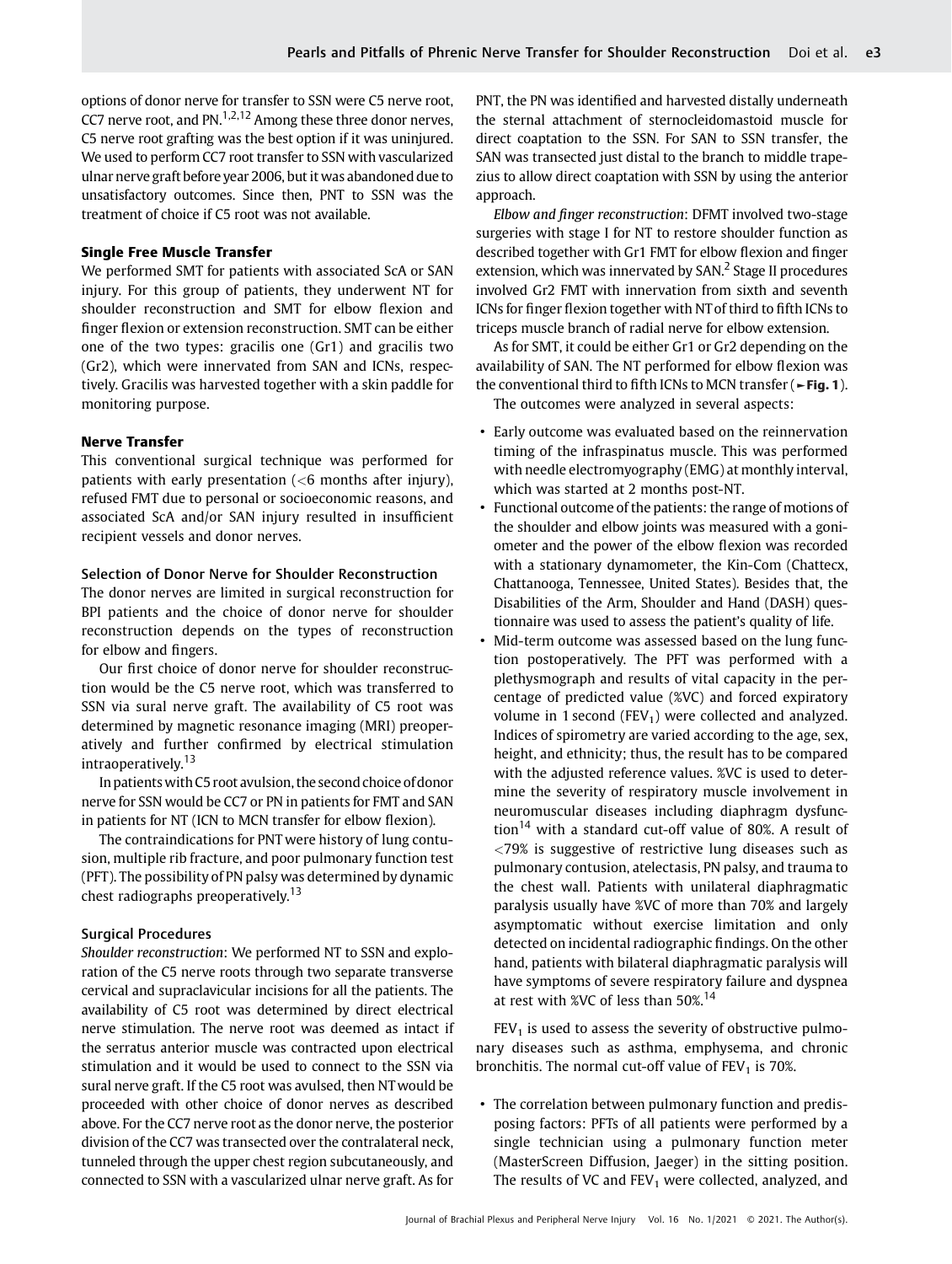options of donor nerve for transfer to SSN were C5 nerve root, CC7 nerve root, and  $PN.$ <sup>1,2,12</sup> Among these three donor nerves, C5 nerve root grafting was the best option if it was uninjured. We used to perform CC7 root transfer to SSN with vascularized ulnar nerve graft before year 2006, but it was abandoned due to unsatisfactory outcomes. Since then, PNT to SSN was the treatment of choice if C5 root was not available.

#### Single Free Muscle Transfer

We performed SMT for patients with associated ScA or SAN injury. For this group of patients, they underwent NT for shoulder reconstruction and SMT for elbow flexion and finger flexion or extension reconstruction. SMT can be either one of the two types: gracilis one (Gr1) and gracilis two (Gr2), which were innervated from SAN and ICNs, respectively. Gracilis was harvested together with a skin paddle for monitoring purpose.

#### Nerve Transfer

This conventional surgical technique was performed for patients with early presentation  $(<$ 6 months after injury), refused FMT due to personal or socioeconomic reasons, and associated ScA and/or SAN injury resulted in insufficient recipient vessels and donor nerves.

### Selection of Donor Nerve for Shoulder Reconstruction

The donor nerves are limited in surgical reconstruction for BPI patients and the choice of donor nerve for shoulder reconstruction depends on the types of reconstruction for elbow and fingers.

Our first choice of donor nerve for shoulder reconstruction would be the C5 nerve root, which was transferred to SSN via sural nerve graft. The availability of C5 root was determined by magnetic resonance imaging (MRI) preoperatively and further confirmed by electrical stimulation intraoperatively.<sup>13</sup>

In patientswith C5 root avulsion, the second choice ofdonor nerve for SSN would be CC7 or PN in patients for FMT and SAN in patients for NT (ICN to MCN transfer for elbow flexion).

The contraindications for PNT were history of lung contusion, multiple rib fracture, and poor pulmonary function test (PFT). The possibility of PN palsy was determined by dynamic chest radiographs preoperatively.<sup>13</sup>

#### Surgical Procedures

Shoulder reconstruction: We performed NT to SSN and exploration of the C5 nerve roots through two separate transverse cervical and supraclavicular incisions for all the patients. The availability of C5 root was determined by direct electrical nerve stimulation. The nerve root was deemed as intact if the serratus anterior muscle was contracted upon electrical stimulation and it would be used to connect to the SSN via sural nerve graft. If the C5 root was avulsed, then NTwould be proceeded with other choice of donor nerves as described above. For the CC7 nerve root as the donor nerve, the posterior division of the CC7 was transected over the contralateral neck, tunneled through the upper chest region subcutaneously, and connected to SSN with a vascularized ulnar nerve graft. As for

PNT, the PN was identified and harvested distally underneath the sternal attachment of sternocleidomastoid muscle for direct coaptation to the SSN. For SAN to SSN transfer, the SAN was transected just distal to the branch to middle trapezius to allow direct coaptation with SSN by using the anterior approach.

Elbow and finger reconstruction: DFMT involved two-stage surgeries with stage I for NT to restore shoulder function as described together with Gr1 FMT for elbow flexion and finger extension, which was innervated by SAN.<sup>2</sup> Stage II procedures involved Gr2 FMT with innervation from sixth and seventh ICNs for finger flexion together with NT of third to fifth ICNs to triceps muscle branch of radial nerve for elbow extension.

As for SMT, it could be either Gr1 or Gr2 depending on the availability of SAN. The NT performed for elbow flexion was the conventional third to fifth ICNs to MCN transfer (►Fig. 1).

The outcomes were analyzed in several aspects:

- Early outcome was evaluated based on the reinnervation timing of the infraspinatus muscle. This was performed with needle electromyography (EMG) at monthly interval, which was started at 2 months post-NT.
- Functional outcome of the patients: the range of motions of the shoulder and elbow joints was measured with a goniometer and the power of the elbow flexion was recorded with a stationary dynamometer, the Kin-Com (Chattecx, Chattanooga, Tennessee, United States). Besides that, the Disabilities of the Arm, Shoulder and Hand (DASH) questionnaire was used to assess the patient's quality of life.
- Mid-term outcome was assessed based on the lung function postoperatively. The PFT was performed with a plethysmograph and results of vital capacity in the percentage of predicted value (%VC) and forced expiratory volume in 1 second (FEV<sub>1</sub>) were collected and analyzed. Indices of spirometry are varied according to the age, sex, height, and ethnicity; thus, the result has to be compared with the adjusted reference values. %VC is used to determine the severity of respiratory muscle involvement in neuromuscular diseases including diaphragm dysfunction<sup>14</sup> with a standard cut-off value of 80%. A result of <79% is suggestive of restrictive lung diseases such as pulmonary contusion, atelectasis, PN palsy, and trauma to the chest wall. Patients with unilateral diaphragmatic paralysis usually have %VC of more than 70% and largely asymptomatic without exercise limitation and only detected on incidental radiographic findings. On the other hand, patients with bilateral diaphragmatic paralysis will have symptoms of severe respiratory failure and dyspnea at rest with %VC of less than 50%.<sup>14</sup>

 $FEV<sub>1</sub>$  is used to assess the severity of obstructive pulmonary diseases such as asthma, emphysema, and chronic bronchitis. The normal cut-off value of  $FEV<sub>1</sub>$  is 70%.

• The correlation between pulmonary function and predisposing factors: PFTs of all patients were performed by a single technician using a pulmonary function meter (MasterScreen Diffusion, Jaeger) in the sitting position. The results of VC and  $FEV<sub>1</sub>$  were collected, analyzed, and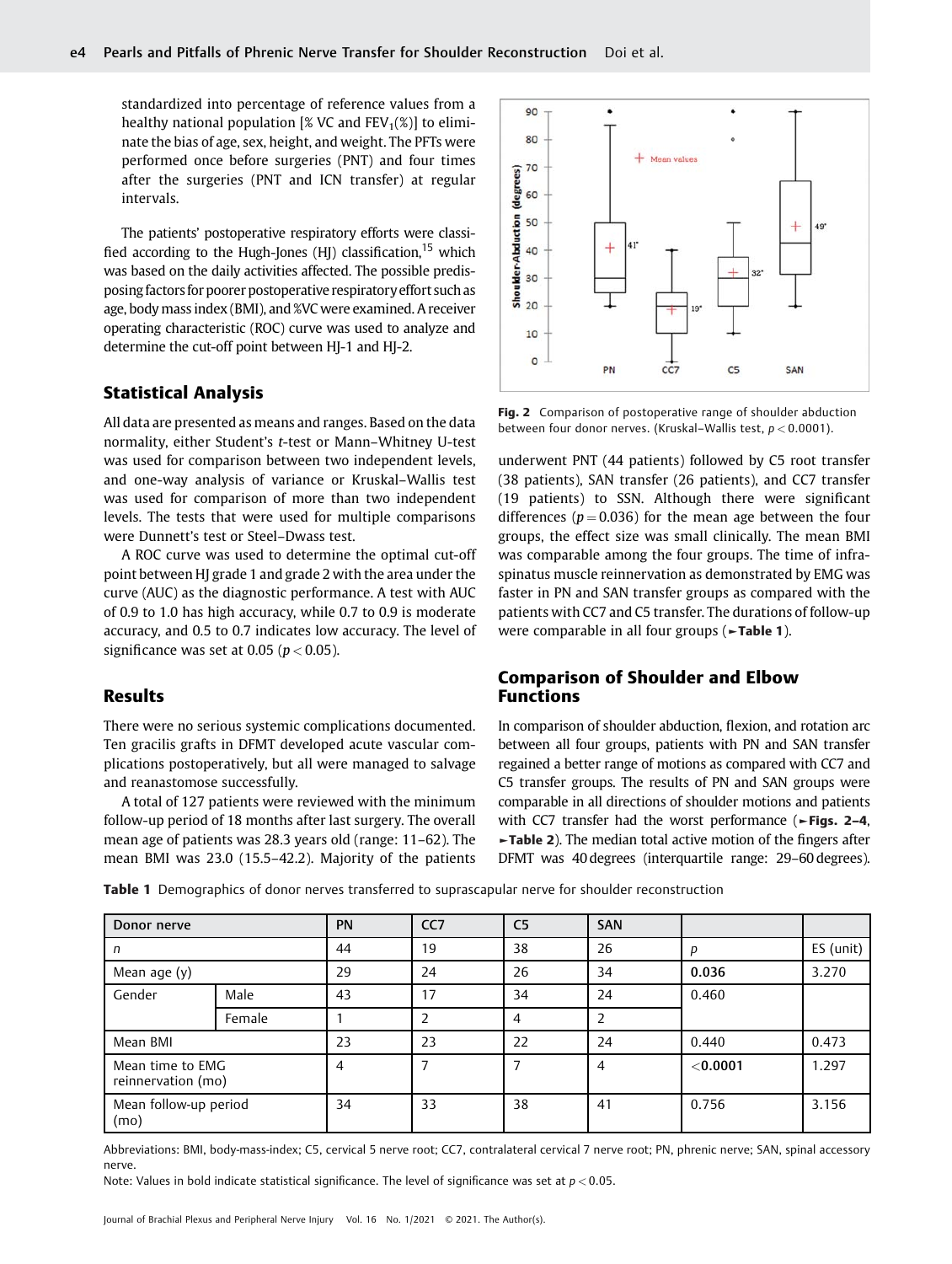standardized into percentage of reference values from a healthy national population [% VC and  $FEV_1(\%)$ ] to eliminate the bias of age, sex, height, and weight. The PFTs were performed once before surgeries (PNT) and four times after the surgeries (PNT and ICN transfer) at regular intervals.

The patients' postoperative respiratory efforts were classified according to the Hugh-Jones  $(HI)$  classification, <sup>15</sup> which was based on the daily activities affected. The possible predisposing factors for poorer postoperative respiratory effort such as age, body mass index (BMI), and %VC were examined. A receiver operating characteristic (ROC) curve was used to analyze and determine the cut-off point between HJ-1 and HJ-2.

# Statistical Analysis

All data are presented as means and ranges. Based on the data normality, either Student's t-test or Mann–Whitney U-test was used for comparison between two independent levels, and one-way analysis of variance or Kruskal–Wallis test was used for comparison of more than two independent levels. The tests that were used for multiple comparisons were Dunnett's test or Steel–Dwass test.

A ROC curve was used to determine the optimal cut-off point between HJ grade 1 and grade 2 with the area under the curve (AUC) as the diagnostic performance. A test with AUC of 0.9 to 1.0 has high accuracy, while 0.7 to 0.9 is moderate accuracy, and 0.5 to 0.7 indicates low accuracy. The level of significance was set at 0.05 ( $p < 0.05$ ).

## Results

There were no serious systemic complications documented. Ten gracilis grafts in DFMT developed acute vascular complications postoperatively, but all were managed to salvage and reanastomose successfully.

A total of 127 patients were reviewed with the minimum follow-up period of 18 months after last surgery. The overall mean age of patients was 28.3 years old (range: 11–62). The mean BMI was 23.0 (15.5–42.2). Majority of the patients



Fig. 2 Comparison of postoperative range of shoulder abduction between four donor nerves. (Kruskal–Wallis test,  $p < 0.0001$ ).

underwent PNT (44 patients) followed by C5 root transfer (38 patients), SAN transfer (26 patients), and CC7 transfer (19 patients) to SSN. Although there were significant differences ( $p = 0.036$ ) for the mean age between the four groups, the effect size was small clinically. The mean BMI was comparable among the four groups. The time of infraspinatus muscle reinnervation as demonstrated by EMG was faster in PN and SAN transfer groups as compared with the patients with CC7 and C5 transfer. The durations of follow-up were comparable in all four groups ( $\blacktriangleright$ Table 1).

# Comparison of Shoulder and Elbow Functions

In comparison of shoulder abduction, flexion, and rotation arc between all four groups, patients with PN and SAN transfer regained a better range of motions as compared with CC7 and C5 transfer groups. The results of PN and SAN groups were comparable in all directions of shoulder motions and patients with CC7 transfer had the worst performance (►Figs. 2–4, ►Table 2). The median total active motion of the fingers after DFMT was 40 degrees (interquartile range: 29–60 degrees).

Table 1 Demographics of donor nerves transferred to suprascapular nerve for shoulder reconstruction

| Donor nerve                            |        | PN | CC <sub>7</sub> | C <sub>5</sub> | <b>SAN</b>     |            |           |
|----------------------------------------|--------|----|-----------------|----------------|----------------|------------|-----------|
| n                                      |        | 44 | 19              | 38             | 26             | p          | ES (unit) |
| Mean age (y)                           |        | 29 | 24              | 26             | 34             | 0.036      | 3.270     |
| Gender                                 | Male   | 43 | 17              | 34             | 24             | 0.460      |           |
|                                        | Female |    |                 | 4              | $\overline{2}$ |            |           |
| Mean BMI                               |        | 23 | 23              | 22             | 24             | 0.440      | 0.473     |
| Mean time to EMG<br>reinnervation (mo) |        | 4  |                 |                | 4              | $<$ 0.0001 | 1.297     |
| Mean follow-up period<br>(mo)          |        | 34 | 33              | 38             | 41             | 0.756      | 3.156     |

Abbreviations: BMI, body-mass-index; C5, cervical 5 nerve root; CC7, contralateral cervical 7 nerve root; PN, phrenic nerve; SAN, spinal accessory nerve.

Note: Values in bold indicate statistical significance. The level of significance was set at  $p < 0.05$ .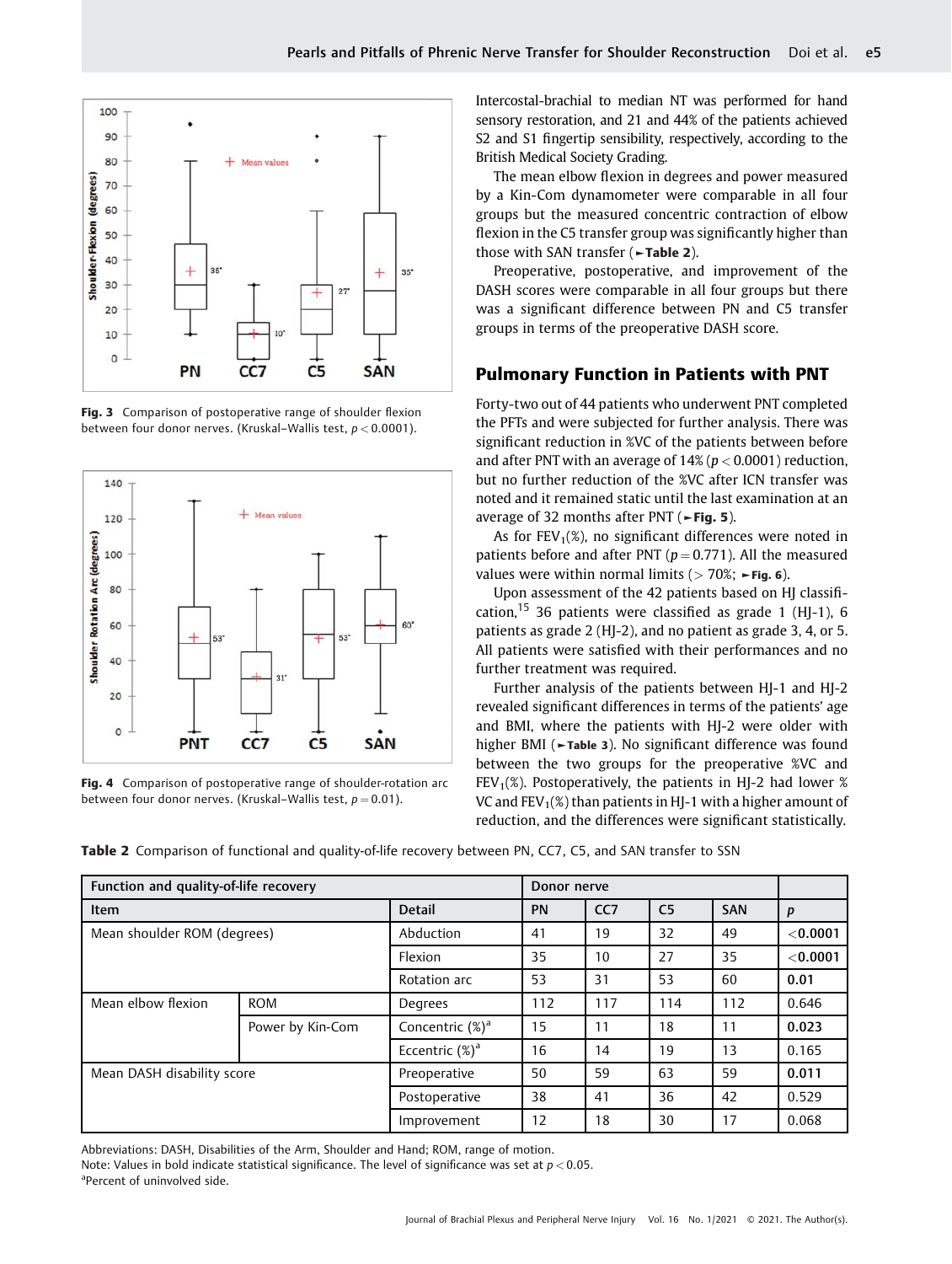

Fig. 3 Comparison of postoperative range of shoulder flexion between four donor nerves. (Kruskal–Wallis test,  $p < 0.0001$ ).



Fig. 4 Comparison of postoperative range of shoulder-rotation arc between four donor nerves. (Kruskal–Wallis test,  $p = 0.01$ ).

Intercostal-brachial to median NT was performed for hand sensory restoration, and 21 and 44% of the patients achieved S2 and S1 fingertip sensibility, respectively, according to the British Medical Society Grading.

The mean elbow flexion in degrees and power measured by a Kin-Com dynamometer were comparable in all four groups but the measured concentric contraction of elbow flexion in the C5 transfer group was significantly higher than those with SAN transfer (►Table 2).

Preoperative, postoperative, and improvement of the DASH scores were comparable in all four groups but there was a significant difference between PN and C5 transfer groups in terms of the preoperative DASH score.

# Pulmonary Function in Patients with PNT

Forty-two out of 44 patients who underwent PNT completed the PFTs and were subjected for further analysis. There was significant reduction in %VC of the patients between before and after PNT with an average of  $14\%$  ( $p < 0.0001$ ) reduction, but no further reduction of the %VC after ICN transfer was noted and it remained static until the last examination at an average of 32 months after PNT ( $\blacktriangleright$ Fig. 5).

As for  $FEV_1(\%)$ , no significant differences were noted in patients before and after PNT ( $p = 0.771$ ). All the measured values were within normal limits ( $> 70\%$ ;  $\blacktriangleright$  Fig. 6).

Upon assessment of the 42 patients based on HJ classification,  $15$  36 patients were classified as grade 1 (HJ-1), 6 patients as grade 2 (HJ-2), and no patient as grade 3, 4, or 5. All patients were satisfied with their performances and no further treatment was required.

Further analysis of the patients between HJ-1 and HJ-2 revealed significant differences in terms of the patients' age and BMI, where the patients with HJ-2 were older with higher BMI (►Table 3). No significant difference was found between the two groups for the preoperative %VC and FEV<sub>1</sub>(%). Postoperatively, the patients in HJ-2 had lower % VC and  $FEV_1(\%)$  than patients in HJ-1 with a higher amount of reduction, and the differences were significant statistically.

Table 2 Comparison of functional and quality-of-life recovery between PN, CC7, C5, and SAN transfer to SSN

| Function and quality-of-life recovery |                  |                     | Donor nerve     |                |            |     |          |
|---------------------------------------|------------------|---------------------|-----------------|----------------|------------|-----|----------|
| <b>Item</b>                           | <b>Detail</b>    | <b>PN</b>           | CC <sub>7</sub> | C <sub>5</sub> | <b>SAN</b> | p   |          |
| Mean shoulder ROM (degrees)           |                  | Abduction           | 41              | 19             | 32         | 49  | < 0.0001 |
|                                       |                  | Flexion             | 35              | 10             | 27         | 35  | < 0.0001 |
|                                       |                  | Rotation arc        | 53              | 31             | 53         | 60  | 0.01     |
| Mean elbow flexion                    | <b>ROM</b>       | Degrees             | 112             | 117            | 114        | 112 | 0.646    |
|                                       | Power by Kin-Com | Concentric $(\%)^a$ | 15              | 11             | 18         | 11  | 0.023    |
|                                       |                  | Eccentric $(\%)^a$  | 16              | 14             | 19         | 13  | 0.165    |
| Mean DASH disability score            |                  | Preoperative        | 50              | 59             | 63         | 59  | 0.011    |
|                                       |                  | Postoperative       | 38              | 41             | 36         | 42  | 0.529    |
|                                       |                  | Improvement         | 12              | 18             | 30         | 17  | 0.068    |

Abbreviations: DASH, Disabilities of the Arm, Shoulder and Hand; ROM, range of motion.

Note: Values in bold indicate statistical significance. The level of significance was set at  $p < 0.05$ .

a Percent of uninvolved side.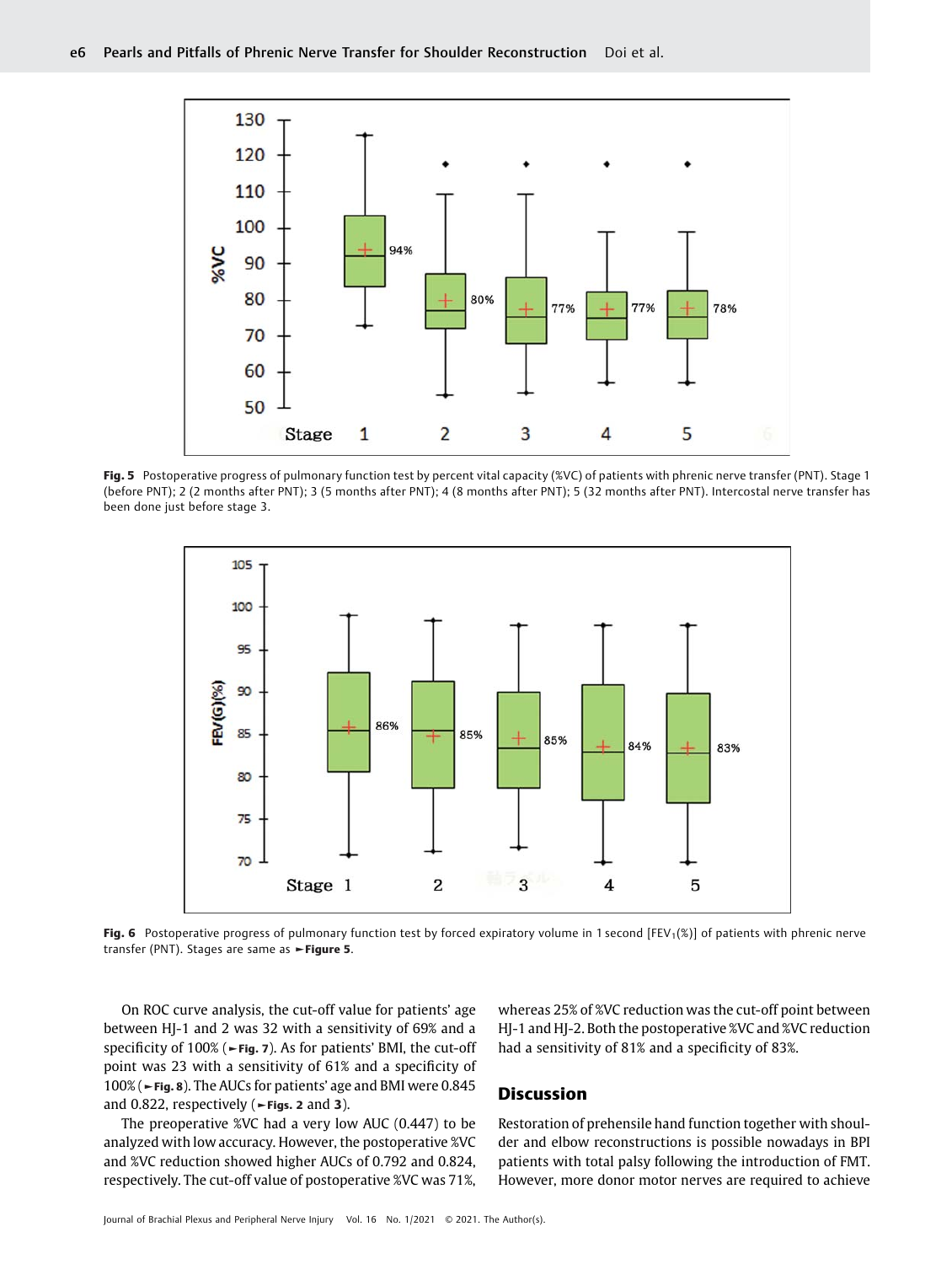

Fig. 5 Postoperative progress of pulmonary function test by percent vital capacity (%VC) of patients with phrenic nerve transfer (PNT). Stage 1 (before PNT); 2 (2 months after PNT); 3 (5 months after PNT); 4 (8 months after PNT); 5 (32 months after PNT). Intercostal nerve transfer has been done just before stage 3.



Fig. 6 Postoperative progress of pulmonary function test by forced expiratory volume in 1 second [FEV<sub>1</sub>(%)] of patients with phrenic nerve transfer (PNT). Stages are same as ►Figure 5.

On ROC curve analysis, the cut-off value for patients' age between HJ-1 and 2 was 32 with a sensitivity of 69% and a specificity of 100% (►Fig. 7). As for patients' BMI, the cut-off point was 23 with a sensitivity of 61% and a specificity of 100% (►Fig. 8). The AUCs for patients' age and BMI were 0.845 and 0.822, respectively ( $\blacktriangleright$ Figs. 2 and 3).

The preoperative %VC had a very low AUC (0.447) to be analyzed with low accuracy. However, the postoperative %VC and %VC reduction showed higher AUCs of 0.792 and 0.824, respectively. The cut-off value of postoperative %VC was 71%,

whereas 25% of %VC reduction was the cut-off point between HJ-1 and HJ-2. Both the postoperative %VC and %VC reduction had a sensitivity of 81% and a specificity of 83%.

# Discussion

Restoration of prehensile hand function together with shoulder and elbow reconstructions is possible nowadays in BPI patients with total palsy following the introduction of FMT. However, more donor motor nerves are required to achieve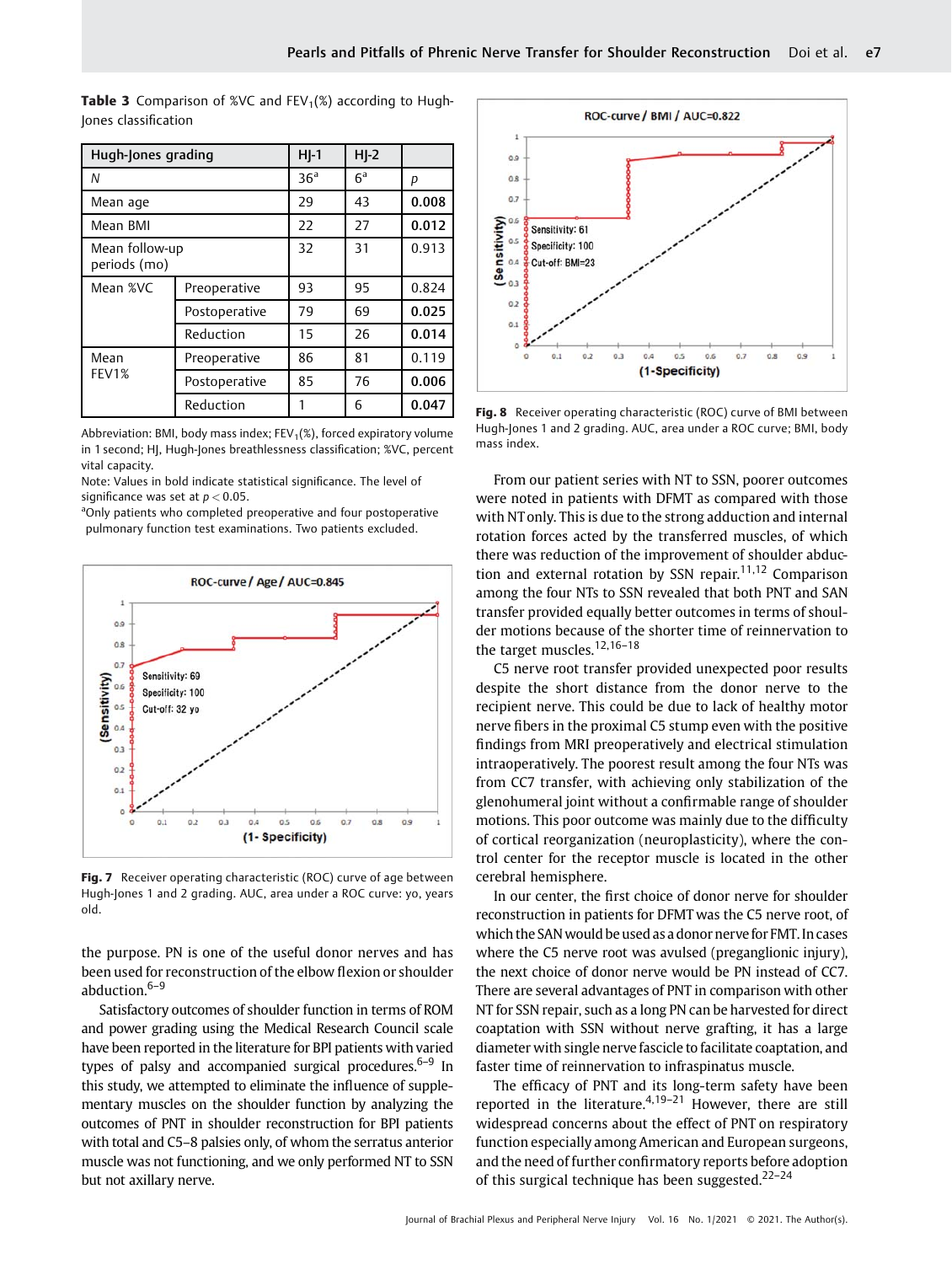| Hugh-Jones grading             | $H$ -1          | $H$ -2         |       |       |
|--------------------------------|-----------------|----------------|-------|-------|
| Ν                              | 36 <sup>a</sup> | 6 <sup>a</sup> | р     |       |
| Mean age                       | 29              | 43             | 0.008 |       |
| Mean BMI                       | 22              | 27             | 0.012 |       |
| Mean follow-up<br>periods (mo) | 32              | 31             | 0.913 |       |
| Mean %VC                       | Preoperative    | 93             | 95    | 0.824 |
|                                | Postoperative   | 79             | 69    | 0.025 |
|                                | Reduction       | 15             | 26    | 0.014 |
| Mean                           | Preoperative    | 86             | 81    | 0.119 |
| FEV1%                          | Postoperative   | 85             | 76    | 0.006 |
|                                | Reduction       |                | 6     | 0.047 |

**Table 3** Comparison of %VC and  $FEV_1(\%)$  according to Hugh-Jones classification

Abbreviation: BMI, body mass index;  $FEV_1(\%)$ , forced expiratory volume in 1 second; HJ, Hugh-Jones breathlessness classification; %VC, percent vital capacity.

Note: Values in bold indicate statistical significance. The level of significance was set at  $p < 0.05$ .

<sup>a</sup>Only patients who completed preoperative and four postoperative pulmonary function test examinations. Two patients excluded.



Fig. 7 Receiver operating characteristic (ROC) curve of age between Hugh-Jones 1 and 2 grading. AUC, area under a ROC curve: yo, years old.

the purpose. PN is one of the useful donor nerves and has been used for reconstruction of the elbow flexion or shoulder abduction.6–<sup>9</sup>

Satisfactory outcomes of shoulder function in terms of ROM and power grading using the Medical Research Council scale have been reported in the literature for BPI patients with varied types of palsy and accompanied surgical procedures. $6-9$  In this study, we attempted to eliminate the influence of supplementary muscles on the shoulder function by analyzing the outcomes of PNT in shoulder reconstruction for BPI patients with total and C5–8 palsies only, of whom the serratus anterior muscle was not functioning, and we only performed NT to SSN but not axillary nerve.



Fig. 8 Receiver operating characteristic (ROC) curve of BMI between Hugh-Jones 1 and 2 grading. AUC, area under a ROC curve; BMI, body mass index.

From our patient series with NT to SSN, poorer outcomes were noted in patients with DFMT as compared with those with NT only. This is due to the strong adduction and internal rotation forces acted by the transferred muscles, of which there was reduction of the improvement of shoulder abduction and external rotation by SSN repair.<sup>11,12</sup> Comparison among the four NTs to SSN revealed that both PNT and SAN transfer provided equally better outcomes in terms of shoulder motions because of the shorter time of reinnervation to the target muscles.<sup>12,16-18</sup>

C5 nerve root transfer provided unexpected poor results despite the short distance from the donor nerve to the recipient nerve. This could be due to lack of healthy motor nerve fibers in the proximal C5 stump even with the positive findings from MRI preoperatively and electrical stimulation intraoperatively. The poorest result among the four NTs was from CC7 transfer, with achieving only stabilization of the glenohumeral joint without a confirmable range of shoulder motions. This poor outcome was mainly due to the difficulty of cortical reorganization (neuroplasticity), where the control center for the receptor muscle is located in the other cerebral hemisphere.

In our center, the first choice of donor nerve for shoulder reconstruction in patients for DFMT was the C5 nerve root, of which the SANwould be used as a donor nerve for FMT. In cases where the C5 nerve root was avulsed (preganglionic injury), the next choice of donor nerve would be PN instead of CC7. There are several advantages of PNT in comparison with other NT for SSN repair, such as a long PN can be harvested for direct coaptation with SSN without nerve grafting, it has a large diameter with single nerve fascicle to facilitate coaptation, and faster time of reinnervation to infraspinatus muscle.

The efficacy of PNT and its long-term safety have been reported in the literature. $4,19-21$  However, there are still widespread concerns about the effect of PNT on respiratory function especially among American and European surgeons, and the need of further confirmatory reports before adoption of this surgical technique has been suggested.<sup>22-24</sup>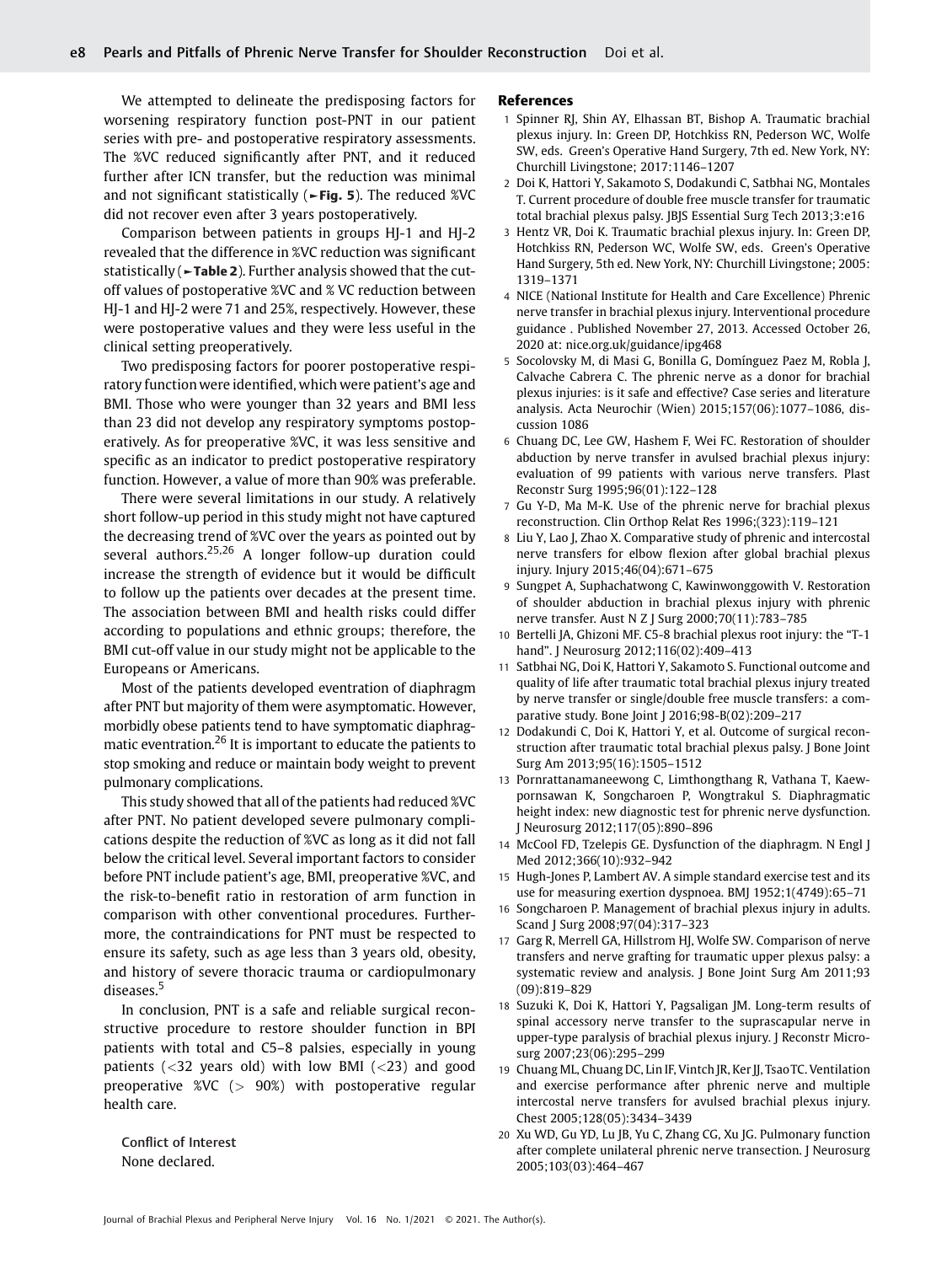We attempted to delineate the predisposing factors for worsening respiratory function post-PNT in our patient series with pre- and postoperative respiratory assessments. The %VC reduced significantly after PNT, and it reduced further after ICN transfer, but the reduction was minimal and not significant statistically (►Fig. 5). The reduced %VC did not recover even after 3 years postoperatively.

Comparison between patients in groups HJ-1 and HJ-2 revealed that the difference in %VC reduction was significant statistically (►Table 2). Further analysis showed that the cutoff values of postoperative %VC and % VC reduction between HJ-1 and HJ-2 were 71 and 25%, respectively. However, these were postoperative values and they were less useful in the clinical setting preoperatively.

Two predisposing factors for poorer postoperative respiratory function were identified, which were patient's age and BMI. Those who were younger than 32 years and BMI less than 23 did not develop any respiratory symptoms postoperatively. As for preoperative %VC, it was less sensitive and specific as an indicator to predict postoperative respiratory function. However, a value of more than 90% was preferable.

There were several limitations in our study. A relatively short follow-up period in this study might not have captured the decreasing trend of %VC over the years as pointed out by several authors.<sup>25,26</sup> A longer follow-up duration could increase the strength of evidence but it would be difficult to follow up the patients over decades at the present time. The association between BMI and health risks could differ according to populations and ethnic groups; therefore, the BMI cut-off value in our study might not be applicable to the Europeans or Americans.

Most of the patients developed eventration of diaphragm after PNT but majority of them were asymptomatic. However, morbidly obese patients tend to have symptomatic diaphragmatic eventration.<sup>26</sup> It is important to educate the patients to stop smoking and reduce or maintain body weight to prevent pulmonary complications.

This study showed that all of the patients had reduced %VC after PNT. No patient developed severe pulmonary complications despite the reduction of %VC as long as it did not fall below the critical level. Several important factors to consider before PNT include patient's age, BMI, preoperative %VC, and the risk-to-benefit ratio in restoration of arm function in comparison with other conventional procedures. Furthermore, the contraindications for PNT must be respected to ensure its safety, such as age less than 3 years old, obesity, and history of severe thoracic trauma or cardiopulmonary diseases.<sup>5</sup>

In conclusion, PNT is a safe and reliable surgical reconstructive procedure to restore shoulder function in BPI patients with total and C5–8 palsies, especially in young patients  $\left( \langle 32 \rangle$  years old) with low BMI  $\left( \langle 23 \rangle \rangle$  and good preoperative  $\%$ VC ( $> 90\%$ ) with postoperative regular health care.

Conflict of Interest None declared.

#### References

- 1 Spinner RJ, Shin AY, Elhassan BT, Bishop A. Traumatic brachial plexus injury. In: Green DP, Hotchkiss RN, Pederson WC, Wolfe SW, eds. Green's Operative Hand Surgery, 7th ed. New York, NY: Churchill Livingstone; 2017:1146–1207
- 2 Doi K, Hattori Y, Sakamoto S, Dodakundi C, Satbhai NG, Montales T. Current procedure of double free muscle transfer for traumatic total brachial plexus palsy. JBJS Essential Surg Tech 2013;3:e16
- 3 Hentz VR, Doi K. Traumatic brachial plexus injury. In: Green DP, Hotchkiss RN, Pederson WC, Wolfe SW, eds. Green's Operative Hand Surgery, 5th ed. New York, NY: Churchill Livingstone; 2005: 1319–1371
- 4 NICE (National Institute for Health and Care Excellence) Phrenic nerve transfer in brachial plexus injury. Interventional procedure guidance . Published November 27, 2013. Accessed October 26, 2020 at: [nice.org.uk/guidance/ipg468](http://nice.org.uk/guidance/ipg468)
- 5 Socolovsky M, di Masi G, Bonilla G, Domínguez Paez M, Robla J, Calvache Cabrera C. The phrenic nerve as a donor for brachial plexus injuries: is it safe and effective? Case series and literature analysis. Acta Neurochir (Wien) 2015;157(06):1077–1086, discussion 1086
- 6 Chuang DC, Lee GW, Hashem F, Wei FC. Restoration of shoulder abduction by nerve transfer in avulsed brachial plexus injury: evaluation of 99 patients with various nerve transfers. Plast Reconstr Surg 1995;96(01):122–128
- 7 Gu Y-D, Ma M-K. Use of the phrenic nerve for brachial plexus reconstruction. Clin Orthop Relat Res 1996;(323):119–121
- 8 Liu Y, Lao J, Zhao X. Comparative study of phrenic and intercostal nerve transfers for elbow flexion after global brachial plexus injury. Injury 2015;46(04):671–675
- 9 Sungpet A, Suphachatwong C, Kawinwonggowith V. Restoration of shoulder abduction in brachial plexus injury with phrenic nerve transfer. Aust N Z J Surg 2000;70(11):783–785
- 10 Bertelli JA, Ghizoni MF. C5-8 brachial plexus root injury: the "T-1 hand". J Neurosurg 2012;116(02):409–413
- 11 Satbhai NG, Doi K, Hattori Y, Sakamoto S. Functional outcome and quality of life after traumatic total brachial plexus injury treated by nerve transfer or single/double free muscle transfers: a comparative study. Bone Joint J 2016;98-B(02):209–217
- 12 Dodakundi C, Doi K, Hattori Y, et al. Outcome of surgical reconstruction after traumatic total brachial plexus palsy. J Bone Joint Surg Am 2013;95(16):1505–1512
- 13 Pornrattanamaneewong C, Limthongthang R, Vathana T, Kaewpornsawan K, Songcharoen P, Wongtrakul S. Diaphragmatic height index: new diagnostic test for phrenic nerve dysfunction. J Neurosurg 2012;117(05):890–896
- 14 McCool FD, Tzelepis GE. Dysfunction of the diaphragm. N Engl J Med 2012;366(10):932–942
- 15 Hugh-Jones P, Lambert AV. A simple standard exercise test and its use for measuring exertion dyspnoea. BMJ 1952;1(4749):65–71
- 16 Songcharoen P. Management of brachial plexus injury in adults. Scand J Surg 2008;97(04):317–323
- 17 Garg R, Merrell GA, Hillstrom HJ, Wolfe SW. Comparison of nerve transfers and nerve grafting for traumatic upper plexus palsy: a systematic review and analysis. J Bone Joint Surg Am 2011;93 (09):819–829
- 18 Suzuki K, Doi K, Hattori Y, Pagsaligan JM. Long-term results of spinal accessory nerve transfer to the suprascapular nerve in upper-type paralysis of brachial plexus injury. J Reconstr Microsurg 2007;23(06):295–299
- 19 Chuang ML, Chuang DC, Lin IF, Vintch JR, Ker JJ, TsaoTC. Ventilation and exercise performance after phrenic nerve and multiple intercostal nerve transfers for avulsed brachial plexus injury. Chest 2005;128(05):3434–3439
- 20 Xu WD, Gu YD, Lu JB, Yu C, Zhang CG, Xu JG. Pulmonary function after complete unilateral phrenic nerve transection. J Neurosurg 2005;103(03):464–467